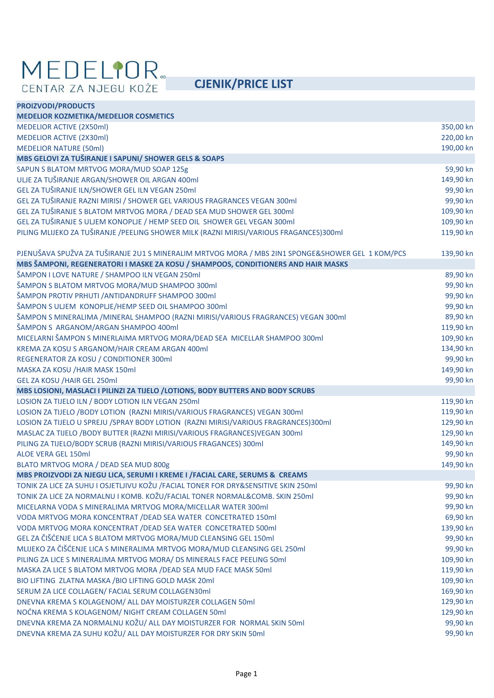## **MEDELIOR**<br>CENTAR ZA NJEGU KOŽE **CJENIK/PRICE LIST**

| <b>PROIZVODI/PRODUCTS</b>                                                                        |           |
|--------------------------------------------------------------------------------------------------|-----------|
| <b>MEDELIOR KOZMETIKA/MEDELIOR COSMETICS</b>                                                     |           |
| <b>MEDELIOR ACTIVE (2X50ml)</b>                                                                  | 350,00 kn |
| <b>MEDELIOR ACTIVE (2X30ml)</b>                                                                  | 220,00 kn |
| <b>MEDELIOR NATURE (50ml)</b>                                                                    | 190,00 kn |
| MBS GELOVI ZA TUŠIRANJE I SAPUNI/ SHOWER GELS & SOAPS                                            |           |
| SAPUN S BLATOM MRTVOG MORA/MUD SOAP 125g                                                         | 59,90 kn  |
| ULJE ZA TUŠIRANJE ARGAN/SHOWER OIL ARGAN 400ml                                                   | 149,90 kn |
| GEL ZA TUŠIRANJE ILN/SHOWER GEL ILN VEGAN 250ml                                                  | 99,90 kn  |
| GEL ZA TUŠIRANJE RAZNI MIRISI / SHOWER GEL VARIOUS FRAGRANCES VEGAN 300ml                        | 99,90 kn  |
| GEL ZA TUŠIRANJE S BLATOM MRTVOG MORA / DEAD SEA MUD SHOWER GEL 300ml                            | 109,90 kn |
| GEL ZA TUŠIRANJE S ULJEM KONOPLJE / HEMP SEED OIL SHOWER GEL VEGAN 300ml                         | 109,90 kn |
| PILING MLIJEKO ZA TUŠIRANJE /PEELING SHOWER MILK (RAZNI MIRISI/VARIOUS FRAGANCES)300ml           | 119,90 kn |
| PJENUŠAVA SPUŽVA ZA TUŠIRANJE 2U1 S MINERALIM MRTVOG MORA / MBS 2IN1 SPONGE&SHOWER GEL 1 KOM/PCS | 139,90 kn |
| MBS ŠAMPONI, REGENERATORI I MASKE ZA KOSU / SHAMPOOS, CONDITIONERS AND HAIR MASKS                |           |
| ŠAMPON I LOVE NATURE / SHAMPOO ILN VEGAN 250ml                                                   | 89,90 kn  |
| ŠAMPON S BLATOM MRTVOG MORA/MUD SHAMPOO 300ml                                                    | 99,90 kn  |
| ŠAMPON PROTIV PRHUTI / ANTIDANDRUFF SHAMPOO 300ml                                                | 99,90 kn  |
| ŠAMPON S ULJEM KONOPLJE/HEMP SEED OIL SHAMPOO 300ml                                              | 99,90 kn  |
| ŠAMPON S MINERALIMA /MINERAL SHAMPOO (RAZNI MIRISI/VARIOUS FRAGRANCES) VEGAN 300ml               | 89,90 kn  |
| ŠAMPON S ARGANOM/ARGAN SHAMPOO 400ml                                                             | 119,90 kn |
| MICELARNI ŠAMPON S MINERLAIMA MRTVOG MORA/DEAD SEA MICELLAR SHAMPOO 300ml                        | 109,90 kn |
| KREMA ZA KOSU S ARGANOM/HAIR CREAM ARGAN 400ml                                                   | 134,90 kn |
| REGENERATOR ZA KOSU / CONDITIONER 300ml                                                          | 99,90 kn  |
| MASKA ZA KOSU / HAIR MASK 150ml                                                                  | 149,90 kn |
| GEL ZA KOSU / HAIR GEL 250ml                                                                     | 99,90 kn  |
| MBS LOSIONI, MASLACI I PILINZI ZA TIJELO /LOTIONS, BODY BUTTERS AND BODY SCRUBS                  |           |
| LOSION ZA TIJELO ILN / BODY LOTION ILN VEGAN 250ml                                               | 119,90 kn |
| LOSION ZA TIJELO /BODY LOTION (RAZNI MIRISI/VARIOUS FRAGRANCES) VEGAN 300ml                      | 119,90 kn |
| LOSION ZA TIJELO U SPREJU / SPRAY BODY LOTION (RAZNI MIRISI/VARIOUS FRAGRANCES) 300ml            | 129,90 kn |
| MASLAC ZA TIJELO / BODY BUTTER (RAZNI MIRISI/VARIOUS FRAGRANCES) VEGAN 300ml                     | 129,90 kn |
| PILING ZA TIJELO/BODY SCRUB (RAZNI MIRISI/VARIOUS FRAGANCES) 300ml                               | 149,90 kn |
| ALOE VERA GEL 150ml                                                                              | 99,90 kn  |
| BLATO MRTVOG MORA / DEAD SEA MUD 800g                                                            | 149,90 kn |
| MBS PROIZVODI ZA NJEGU LICA, SERUMI I KREME I /FACIAL CARE, SERUMS & CREAMS                      |           |
| TONIK ZA LICE ZA SUHU I OSJETLJIVU KOŽU /FACIAL TONER FOR DRY&SENSITIVE SKIN 250ml               | 99,90 kn  |
| TONIK ZA LICE ZA NORMALNU I KOMB. KOŽU/FACIAL TONER NORMAL&COMB. SKIN 250ml                      | 99,90 kn  |
| MICELARNA VODA S MINERALIMA MRTVOG MORA/MICELLAR WATER 300ml                                     | 99,90 kn  |
| VODA MRTVOG MORA KONCENTRAT / DEAD SEA WATER CONCETRATED 150ml                                   | 69,90 kn  |
| VODA MRTVOG MORA KONCENTRAT / DEAD SEA WATER CONCETRATED 500ml                                   | 139,90 kn |
| GEL ZA ČIŠĆENJE LICA S BLATOM MRTVOG MORA/MUD CLEANSING GEL 150ml                                | 99,90 kn  |
| MLIJEKO ZA ČIŠĆENJE LICA S MINERALIMA MRTVOG MORA/MUD CLEANSING GEL 250ml                        | 99,90 kn  |
| PILING ZA LICE S MINERALIMA MRTVOG MORA/ DS MINERALS FACE PEELING 50ml                           | 109,90 kn |
| MASKA ZA LICE S BLATOM MRTVOG MORA / DEAD SEA MUD FACE MASK 50ml                                 | 119,90 kn |
| BIO LIFTING ZLATNA MASKA / BIO LIFTING GOLD MASK 20ml                                            | 109,90 kn |
| SERUM ZA LICE COLLAGEN/ FACIAL SERUM COLLAGEN30ml                                                | 169,90 kn |
| DNEVNA KREMA S KOLAGENOM/ ALL DAY MOISTURZER COLLAGEN 50ml                                       | 129,90 kn |
| NOĆNA KREMA S KOLAGENOM/ NIGHT CREAM COLLAGEN 50ml                                               | 129,90 kn |
| DNEVNA KREMA ZA NORMALNU KOŽU/ ALL DAY MOISTURZER FOR NORMAL SKIN 50ml                           | 99,90 kn  |
| DNEVNA KREMA ZA SUHU KOŽU/ ALL DAY MOISTURZER FOR DRY SKIN 50ml                                  | 99,90 kn  |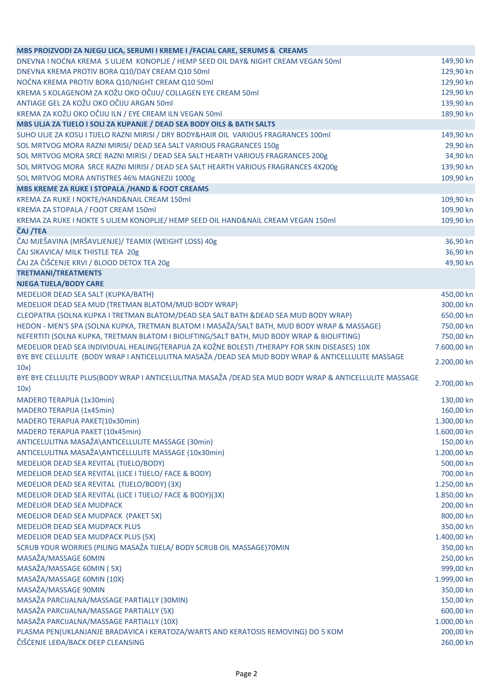| MBS PROIZVODI ZA NJEGU LICA, SERUMI I KREME I /FACIAL CARE, SERUMS & CREAMS                                 |             |
|-------------------------------------------------------------------------------------------------------------|-------------|
| DNEVNA I NOĆNA KREMA S ULJEM KONOPLJE / HEMP SEED OIL DAY& NIGHT CREAM VEGAN 50ml                           | 149,90 kn   |
| DNEVNA KREMA PROTIV BORA Q10/DAY CREAM Q10 50ml                                                             | 129,90 kn   |
| NOĆNA KREMA PROTIV BORA Q10/NIGHT CREAM Q10 50ml                                                            | 129,90 kn   |
| KREMA S KOLAGENOM ZA KOŽU OKO OČIJU/ COLLAGEN EYE CREAM 50ml                                                | 129,90 kn   |
| ANTIAGE GEL ZA KOŽU OKO OČIJU ARGAN 50ml                                                                    | 139,90 kn   |
| KREMA ZA KOŽU OKO OČIJU ILN / EYE CREAM ILN VEGAN 50ml                                                      | 189,90 kn   |
| MBS ULJA ZA TIJELO I SOLI ZA KUPANJE / DEAD SEA BODY OILS & BATH SALTS                                      |             |
| SUHO ULJE ZA KOSU I TIJELO RAZNI MIRISI / DRY BODY&HAIR OIL VARIOUS FRAGRANCES 100ml                        | 149,90 kn   |
| SOL MRTVOG MORA RAZNI MIRISI/ DEAD SEA SALT VARIOUS FRAGRANCES 150g                                         | 29,90 kn    |
| SOL MRTVOG MORA SRCE RAZNI MIRISI / DEAD SEA SALT HEARTH VARIOUS FRAGRANCES 200g                            | 34,90 kn    |
| SOL MRTVOG MORA SRCE RAZNI MIRISI / DEAD SEA SALT HEARTH VARIOUS FRAGRANCES 4X200g                          | 139,90 kn   |
| SOL MRTVOG MORA ANTISTRES 46% MAGNEZIJ 1000g                                                                | 109,90 kn   |
| MBS KREME ZA RUKE I STOPALA /HAND & FOOT CREAMS                                                             |             |
| KREMA ZA RUKE I NOKTE/HAND&NAIL CREAM 150ml                                                                 | 109,90 kn   |
| KREMA ZA STOPALA / FOOT CREAM 150ml                                                                         | 109,90 kn   |
| KREMA ZA RUKE I NOKTE S ULJEM KONOPLJE/ HEMP SEED OIL HAND&NAIL CREAM VEGAN 150ml                           | 109,90 kn   |
| ČAJ /TEA                                                                                                    |             |
| ČAJ MJEŠAVINA (MRŠAVLJENJE)/ TEAMIX (WEIGHT LOSS) 40g                                                       | 36,90 kn    |
| ČAJ SIKAVICA/ MILK THISTLE TEA 20g                                                                          | 36,90 kn    |
| ČAJ ZA ČIŠĆENJE KRVI / BLOOD DETOX TEA 20g                                                                  | 49,90 kn    |
| <b>TRETMANI/TREATMENTS</b>                                                                                  |             |
| <b>NJEGA TIJELA/BODY CARE</b>                                                                               |             |
| MEDELIOR DEAD SEA SALT (KUPKA/BATH)                                                                         | 450,00 kn   |
| MEDELIOR DEAD SEA MUD (TRETMAN BLATOM/MUD BODY WRAP)                                                        | 300,00 kn   |
| CLEOPATRA (SOLNA KUPKA I TRETMAN BLATOM/DEAD SEA SALT BATH & DEAD SEA MUD BODY WRAP)                        | 650,00 kn   |
| HEDON - MEN'S SPA (SOLNA KUPKA, TRETMAN BLATOM I MASAŽA/SALT BATH, MUD BODY WRAP & MASSAGE)                 | 750,00 kn   |
| NEFERTITI (SOLNA KUPKA, TRETMAN BLATOM I BIOLIFTING/SALT BATH, MUD BODY WRAP & BIOLIFTING)                  | 750,00 kn   |
| MEDELIOR DEAD SEA INDIVIDUAL HEALING(TERAPIJA ZA KOŽNE BOLESTI /THERAPY FOR SKIN DISEASES) 10X              | 7.600,00 kn |
| BYE BYE CELLULITE (BODY WRAP I ANTICELULITNA MASAŽA /DEAD SEA MUD BODY WRAP & ANTICELLULITE MASSAGE<br>10x) | 2.200,00 kn |
| BYE BYE CELLULITE PLUS(BODY WRAP I ANTICELULITNA MASAŽA /DEAD SEA MUD BODY WRAP & ANTICELLULITE MASSAGE     |             |
| 10x)                                                                                                        | 2.700,00 kn |
| MADERO TERAPIJA (1x30min)                                                                                   | 130,00 kn   |
| MADERO TERAPIJA (1x45min)                                                                                   | 160,00 kn   |
| MADERO TERAPIJA PAKET(10x30min)                                                                             | 1.300,00 kn |
| MADERO TERAPIJA PAKET (10x45min)                                                                            | 1.600,00 kn |
| ANTICELULITNA MASAŽA\ANTICELLULITE MASSAGE (30min)                                                          | 150,00 kn   |
| ANTICELULITNA MASAŽA\ANTICELLULITE MASSAGE (10x30min)                                                       | 1.200,00 kn |
| MEDELIOR DEAD SEA REVITAL (TIJELO/BODY)                                                                     | 500,00 kn   |
| MEDELIOR DEAD SEA REVITAL (LICE I TIJELO/ FACE & BODY)                                                      | 700,00 kn   |
| MEDELIOR DEAD SEA REVITAL (TIJELO/BODY) (3X)                                                                | 1.250,00 kn |
| MEDELIOR DEAD SEA REVITAL (LICE I TIJELO/ FACE & BODY)(3X)                                                  | 1.850,00 kn |
| MEDELIOR DEAD SEA MUDPACK                                                                                   | 200,00 kn   |
| MEDELIOR DEAD SEA MUDPACK (PAKET 5X)                                                                        | 800,00 kn   |
| <b>MEDELIOR DEAD SEA MUDPACK PLUS</b>                                                                       | 350,00 kn   |
| MEDELIOR DEAD SEA MUDPACK PLUS (5X)                                                                         | 1.400,00 kn |
| SCRUB YOUR WORRIES (PILING MASAŽA TIJELA/ BODY SCRUB OIL MASSAGE) 70MIN                                     | 350,00 kn   |
| MASAŽA/MASSAGE 60MIN                                                                                        | 250,00 kn   |
| MASAŽA/MASSAGE 60MIN (5X)                                                                                   | 999,00 kn   |
| MASAŽA/MASSAGE 60MIN (10X)                                                                                  | 1.999,00 kn |
| MASAŽA/MASSAGE 90MIN                                                                                        | 350,00 kn   |
| MASAŽA PARCIJALNA/MASSAGE PARTIALLY (30MIN)                                                                 | 150,00 kn   |
| MASAŽA PARCIJALNA/MASSAGE PARTIALLY (5X)                                                                    | 600,00 kn   |
| MASAŽA PARCIJALNA/MASSAGE PARTIALLY (10X)                                                                   | 1.000,00 kn |
| PLASMA PEN(UKLANJANJE BRADAVICA I KERATOZA/WARTS AND KERATOSIS REMOVING) DO 5 KOM                           | 200,00 kn   |
| ČIŠĆENJE LEĐA/BACK DEEP CLEANSING                                                                           | 260,00 kn   |
|                                                                                                             |             |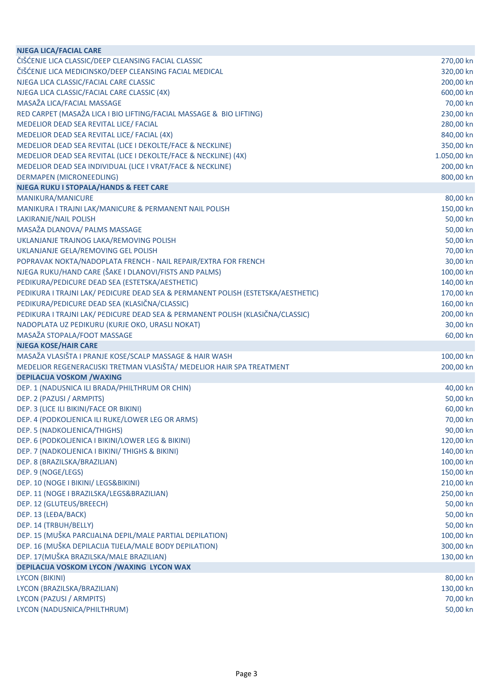| <b>NJEGA LICA/FACIAL CARE</b>                                                    |                       |
|----------------------------------------------------------------------------------|-----------------------|
| ČIŠĆENJE LICA CLASSIC/DEEP CLEANSING FACIAL CLASSIC                              | 270,00 kn             |
| ČIŠĆENJE LICA MEDICINSKO/DEEP CLEANSING FACIAL MEDICAL                           | 320,00 kn             |
| NJEGA LICA CLASSIC/FACIAL CARE CLASSIC                                           | 200,00 kn             |
| NJEGA LICA CLASSIC/FACIAL CARE CLASSIC (4X)                                      | 600,00 kn             |
| MASAŽA LICA/FACIAL MASSAGE                                                       | 70,00 kn              |
| RED CARPET (MASAŽA LICA I BIO LIFTING/FACIAL MASSAGE & BIO LIFTING)              | 230,00 kn             |
| MEDELIOR DEAD SEA REVITAL LICE/ FACIAL                                           | 280,00 kn             |
| MEDELIOR DEAD SEA REVITAL LICE/ FACIAL (4X)                                      | 840,00 kn             |
| MEDELIOR DEAD SEA REVITAL (LICE I DEKOLTE/FACE & NECKLINE)                       | 350,00 kn             |
| MEDELIOR DEAD SEA REVITAL (LICE I DEKOLTE/FACE & NECKLINE) (4X)                  | 1.050,00 kn           |
| MEDELIOR DEAD SEA INDIVIDUAL (LICE I VRAT/FACE & NECKLINE)                       | 200,00 kn             |
| <b>DERMAPEN (MICRONEEDLING)</b>                                                  | 800,00 kn             |
| <b>NJEGA RUKU I STOPALA/HANDS &amp; FEET CARE</b>                                |                       |
| MANIKURA/MANICURE                                                                | 80,00 kn              |
| MANIKURA I TRAJNI LAK/MANICURE & PERMANENT NAIL POLISH                           | 150,00 kn             |
| LAKIRANJE/NAIL POLISH                                                            | 50,00 kn              |
| MASAŽA DLANOVA/ PALMS MASSAGE                                                    | 50,00 kn              |
| UKLANJANJE TRAJNOG LAKA/REMOVING POLISH                                          | 50,00 kn              |
| UKLANJANJE GELA/REMOVING GEL POLISH                                              | 70,00 kn              |
| POPRAVAK NOKTA/NADOPLATA FRENCH - NAIL REPAIR/EXTRA FOR FRENCH                   | 30,00 kn              |
| NJEGA RUKU/HAND CARE (ŠAKE I DLANOVI/FISTS AND PALMS)                            | 100,00 kn             |
| PEDIKURA/PEDICURE DEAD SEA (ESTETSKA/AESTHETIC)                                  | 140,00 kn             |
| PEDIKURA I TRAJNI LAK/ PEDICURE DEAD SEA & PERMANENT POLISH (ESTETSKA/AESTHETIC) | 170,00 kn             |
| PEDIKURA/PEDICURE DEAD SEA (KLASIČNA/CLASSIC)                                    | 160,00 kn             |
| PEDIKURA I TRAJNI LAK/ PEDICURE DEAD SEA & PERMANENT POLISH (KLASIČNA/CLASSIC)   | 200,00 kn             |
| NADOPLATA UZ PEDIKURU (KURJE OKO, URASLI NOKAT)                                  | 30,00 kn              |
| MASAŽA STOPALA/FOOT MASSAGE                                                      | 60,00 kn              |
| <b>NJEGA KOSE/HAIR CARE</b>                                                      |                       |
| MASAŽA VLASIŠTA I PRANJE KOSE/SCALP MASSAGE & HAIR WASH                          | 100,00 kn             |
| MEDELIOR REGENERACIJSKI TRETMAN VLASIŠTA/ MEDELIOR HAIR SPA TREATMENT            | 200,00 kn             |
| <b>DEPILACIJA VOSKOM /WAXING</b>                                                 |                       |
| DEP. 1 (NADUSNICA ILI BRADA/PHILTHRUM OR CHIN)                                   | 40,00 kn              |
| DEP. 2 (PAZUSI / ARMPITS)                                                        | 50,00 kn              |
| DEP. 3 (LICE ILI BIKINI/FACE OR BIKINI)                                          | 60,00 kn              |
|                                                                                  |                       |
| DEP. 4 (PODKOLJENICA ILI RUKE/LOWER LEG OR ARMS)                                 | 70,00 kn              |
| DEP. 5 (NADKOLJENICA/THIGHS)                                                     | 90,00 kn              |
| DEP. 6 (PODKOLJENICA I BIKINI/LOWER LEG & BIKINI)                                | 120,00 kn             |
| DEP. 7 (NADKOLJENICA I BIKINI/ THIGHS & BIKINI)                                  | 140,00 kn             |
| DEP. 8 (BRAZILSKA/BRAZILIAN)                                                     | 100,00 kn             |
| DEP. 9 (NOGE/LEGS)                                                               | 150,00 kn             |
| DEP. 10 (NOGE I BIKINI/ LEGS&BIKINI)                                             | 210,00 kn             |
| DEP. 11 (NOGE I BRAZILSKA/LEGS&BRAZILIAN)                                        | 250,00 kn             |
| DEP. 12 (GLUTEUS/BREECH)                                                         | 50,00 kn              |
| DEP. 13 (LEĐA/BACK)                                                              | 50,00 kn              |
| DEP. 14 (TRBUH/BELLY)                                                            | 50,00 kn              |
| DEP. 15 (MUŠKA PARCIJALNA DEPIL/MALE PARTIAL DEPILATION)                         | 100,00 kn             |
| DEP. 16 (MUŠKA DEPILACIJA TIJELA/MALE BODY DEPILATION)                           | 300,00 kn             |
| DEP. 17 (MUŠKA BRAZILSKA/MALE BRAZILIAN)                                         | 130,00 kn             |
| DEPILACIJA VOSKOM LYCON / WAXING LYCON WAX                                       |                       |
| <b>LYCON (BIKINI)</b>                                                            |                       |
| LYCON (BRAZILSKA/BRAZILIAN)                                                      | 80,00 kn<br>130,00 kn |
| LYCON (PAZUSI / ARMPITS)<br>LYCON (NADUSNICA/PHILTHRUM)                          | 70,00 kn<br>50,00 kn  |